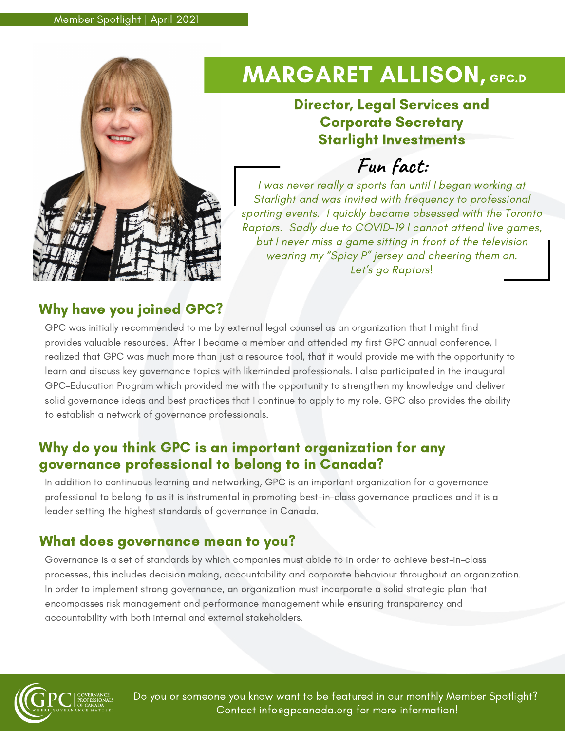

# MARGARET ALLISON, GPC.D

### Director, Legal Services and Corporate Secretary Starlight Investments

### **Fun fact:**

I was never really a sports fan until I began working at Starlight and was invited with frequency to professional sporting events. I quickly became obsessed with the Toronto Raptors. Sadly due to COVID-19 I cannot attend live games, but I never miss a game sitting in front of the television wearing my "Spicy P" jersey and cheering them on. Let's go Raptors!

### Why have you joined GPC?

GPC was initially recommended to me by external legal counsel as an organization that I might find provides valuable resources. After I became a member and attended my first GPC annual conference, I realized that GPC was much more than just a resource tool, that it would provide me with the opportunity to learn and discuss key governance topics with likeminded professionals. I also participated in the inaugural GPC-Education Program which provided me with the opportunity to strengthen my knowledge and deliver solid governance ideas and best practices that I continue to apply to my role. GPC also provides the ability to establish a network of governance professionals.

### Why do you think GPC is an important organization for any governance professional to belong to in Canada?

In addition to continuous learning and networking, GPC is an important organization for a governance professional to belong to as it is instrumental in promoting best-in-class governance practices and it is a leader setting the highest standards of governance in Canada.

### What does governance mean to you?

Governance is a set of standards by which companies must abide to in order to achieve best-in-class processes, this includes decision making, accountability and corporate behaviour throughout an organization. In order to implement strong governance, an organization must incorporate a solid strategic plan that encompasses risk management and performance management while ensuring transparency and accountability with both internal and external stakeholders.



Do you or someone you know want to be featured in our monthly Member Spotlight? Contact info@gpcanada.org for more information!